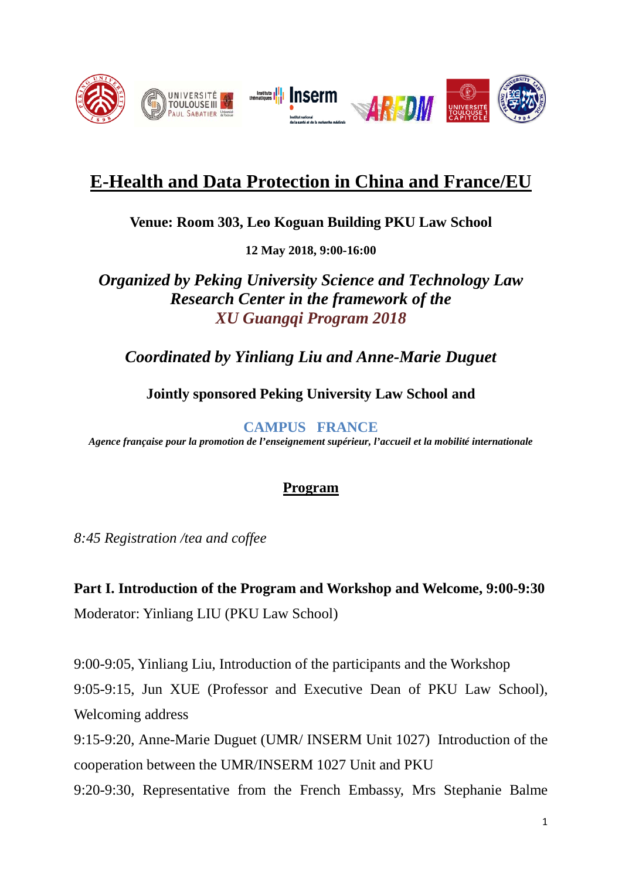

# **E-Health and Data Protection in China and France/EU**

**Venue: Room 303, Leo Koguan Building PKU Law School**

**12 May 2018, 9:00-16:00**

*Organized by Peking University Science and Technology Law Research Center in the framework of the XU Guangqi Program 2018*

#### *Coordinated by Yinliang Liu and Anne-Marie Duguet*

**Jointly sponsored Peking University Law School and**

**CAMPUS FRANCE**

*Agence française pour la promotion de l'enseignement supérieur, l'accueil et la mobilité internationale* 

#### **Program**

*8:45 Registration /tea and coffee*

**Part I. Introduction of the Program and Workshop and Welcome, 9:00-9:30** Moderator: Yinliang LIU (PKU Law School)

9:00-9:05, Yinliang Liu, Introduction of the participants and the Workshop 9:05-9:15, Jun XUE (Professor and Executive Dean of PKU Law School), Welcoming address

9:15-9:20, Anne-Marie Duguet (UMR/ INSERM Unit 1027) Introduction of the cooperation between the UMR/INSERM 1027 Unit and PKU

9:20-9:30, Representative from the French Embassy, Mrs Stephanie Balme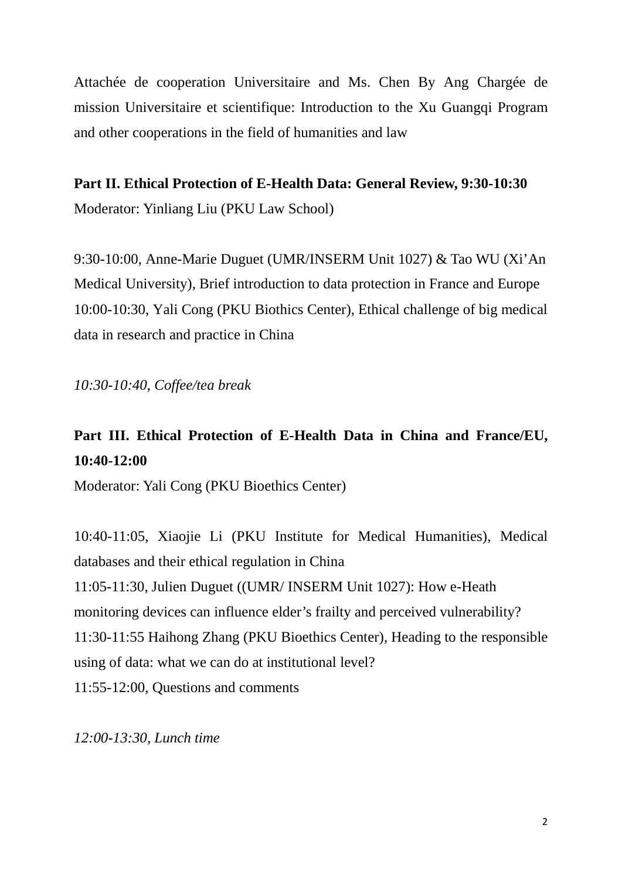Attachée de cooperation Universitaire and Ms. Chen By Ang Chargée de mission Universitaire et scientifique: Introduction to the Xu Guangqi Program and other cooperations in the field of humanities and law

**Part II. Ethical Protection of E-Health Data: General Review, 9:30-10:30** Moderator: Yinliang Liu (PKU Law School)

9:30-10:00, Anne-Marie Duguet (UMR/INSERM Unit 1027) & Tao WU (Xi'An Medical University), Brief introduction to data protection in France and Europe 10:00-10:30, Yali Cong (PKU Biothics Center), Ethical challenge of big medical data in research and practice in China

*10:30-10:40, Coffee/tea break*

## **Part III. Ethical Protection of E-Health Data in China and France/EU, 10:40-12:00**

Moderator: Yali Cong (PKU Bioethics Center)

10:40-11:05, Xiaojie Li (PKU Institute for Medical Humanities), Medical databases and their ethical regulation in China 11:05-11:30, Julien Duguet ((UMR/ INSERM Unit 1027): How e-Heath monitoring devices can influence elder's frailty and perceived vulnerability? 11:30-11:55 Haihong Zhang (PKU Bioethics Center), Heading to the responsible using of data: what we can do at institutional level? 11:55-12:00, Questions and comments

*12:00-13:30, Lunch time*